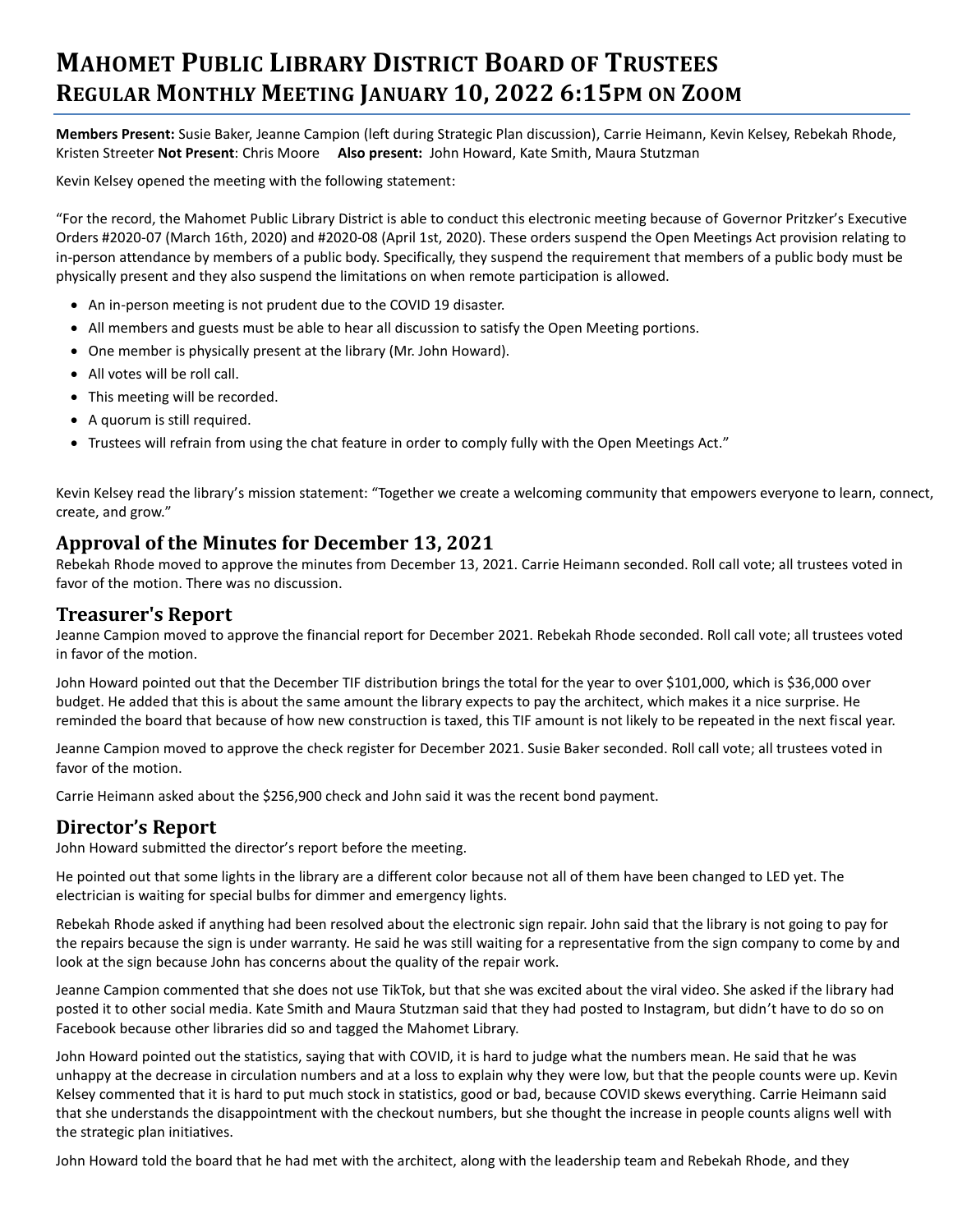# **MAHOMET PUBLIC LIBRARY DISTRICT BOARD OF TRUSTEES REGULAR MONTHLY MEETING JANUARY 10, 2022 6:15PM ON ZOOM**

**Members Present:** Susie Baker, Jeanne Campion (left during Strategic Plan discussion), Carrie Heimann, Kevin Kelsey, Rebekah Rhode, Kristen Streeter **Not Present**: Chris Moore **Also present:** John Howard, Kate Smith, Maura Stutzman

Kevin Kelsey opened the meeting with the following statement:

"For the record, the Mahomet Public Library District is able to conduct this electronic meeting because of Governor Pritzker's Executive Orders #2020-07 (March 16th, 2020) and #2020-08 (April 1st, 2020). These orders suspend the Open Meetings Act provision relating to in-person attendance by members of a public body. Specifically, they suspend the requirement that members of a public body must be physically present and they also suspend the limitations on when remote participation is allowed.

- An in-person meeting is not prudent due to the COVID 19 disaster.
- All members and guests must be able to hear all discussion to satisfy the Open Meeting portions.
- One member is physically present at the library (Mr. John Howard).
- All votes will be roll call.
- This meeting will be recorded.
- A quorum is still required.
- Trustees will refrain from using the chat feature in order to comply fully with the Open Meetings Act."

Kevin Kelsey read the library's mission statement: "Together we create a welcoming community that empowers everyone to learn, connect, create, and grow."

### **Approval of the Minutes for December 13, 2021**

Rebekah Rhode moved to approve the minutes from December 13, 2021. Carrie Heimann seconded. Roll call vote; all trustees voted in favor of the motion. There was no discussion.

#### **Treasurer's Report**

Jeanne Campion moved to approve the financial report for December 2021. Rebekah Rhode seconded. Roll call vote; all trustees voted in favor of the motion.

John Howard pointed out that the December TIF distribution brings the total for the year to over \$101,000, which is \$36,000 over budget. He added that this is about the same amount the library expects to pay the architect, which makes it a nice surprise. He reminded the board that because of how new construction is taxed, this TIF amount is not likely to be repeated in the next fiscal year.

Jeanne Campion moved to approve the check register for December 2021. Susie Baker seconded. Roll call vote; all trustees voted in favor of the motion.

Carrie Heimann asked about the \$256,900 check and John said it was the recent bond payment.

### **Director's Report**

John Howard submitted the director's report before the meeting.

He pointed out that some lights in the library are a different color because not all of them have been changed to LED yet. The electrician is waiting for special bulbs for dimmer and emergency lights.

Rebekah Rhode asked if anything had been resolved about the electronic sign repair. John said that the library is not going to pay for the repairs because the sign is under warranty. He said he was still waiting for a representative from the sign company to come by and look at the sign because John has concerns about the quality of the repair work.

Jeanne Campion commented that she does not use TikTok, but that she was excited about the viral video. She asked if the library had posted it to other social media. Kate Smith and Maura Stutzman said that they had posted to Instagram, but didn't have to do so on Facebook because other libraries did so and tagged the Mahomet Library.

John Howard pointed out the statistics, saying that with COVID, it is hard to judge what the numbers mean. He said that he was unhappy at the decrease in circulation numbers and at a loss to explain why they were low, but that the people counts were up. Kevin Kelsey commented that it is hard to put much stock in statistics, good or bad, because COVID skews everything. Carrie Heimann said that she understands the disappointment with the checkout numbers, but she thought the increase in people counts aligns well with the strategic plan initiatives.

John Howard told the board that he had met with the architect, along with the leadership team and Rebekah Rhode, and they